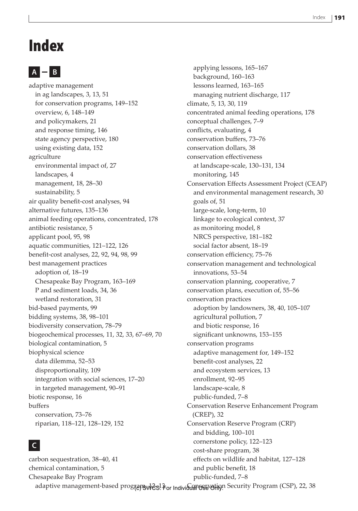# Index

## **A B**

adaptive management in ag landscapes, 3, 13, 51 for conservation programs, 149–152 overview, 6, 148–149 and policymakers, 21 and response timing, 146 state agency perspective, 180 using existing data, 152 agriculture environmental impact of, 27 landscapes, 4 management, 18, 28–30 sustainability, 5 air quality benefit-cost analyses, 94 alternative futures, 135–136 animal feeding operations, concentrated, 178 antibiotic resistance, 5 applicant pool, 95, 98 aquatic communities, 121–122, 126 benefit-cost analyses, 22, 92, 94, 98, 99 best management practices adoption of, 18–19 Chesapeake Bay Program, 163–169 P and sediment loads, 34, 36 wetland restoration, 31 bid-based payments, 99 bidding systems, 38, 98–101 biodiversity conservation, 78–79 biogeochemical processes, 11, 32, 33, 67–69, 70 biological contamination, 5 biophysical science data dilemma, 52–53 disproportionality, 109 integration with social sciences, 17–20 in targeted management, 90–91 biotic response, 16 buffers conservation, 73–76 riparian, 118–121, 128–129, 152

#### **C**

carbon sequestration, 38–40, 41 chemical contamination, 5 Chesapeake Bay Program adaptive management-based program, 12-13 for Individual Ostvotion Security Program (CSP), 22, 38 effects on wildlife and habitat, 127–128 and public benefit, 18 public-funded, 7–8

applying lessons, 165–167 background, 160–163 lessons learned, 163–165 managing nutrient discharge, 117 climate, 5, 13, 30, 119 concentrated animal feeding operations, 178 conceptual challenges, 7–9 conflicts, evaluating, 4 conservation buffers, 73–76 conservation dollars, 38 conservation effectiveness at landscape-scale, 130–131, 134 monitoring, 145 Conservation Effects Assessment Project (CEAP) and environmental management research, 30 goals of, 51 large-scale, long-term, 10 linkage to ecological context, 37 as monitoring model, 8 NRCS perspective, 181–182 social factor absent, 18–19 conservation efficiency, 75–76 conservation management and technological innovations, 53–54 conservation planning, cooperative, 7 conservation plans, execution of, 55–56 conservation practices adoption by landowners, 38, 40, 105–107 agricultural pollution, 7 and biotic response, 16 significant unknowns, 153–155 conservation programs adaptive management for, 149–152 benefit-cost analyses, 22 and ecosystem services, 13 enrollment, 92–95 landscape-scale, 8 public-funded, 7–8 Conservation Reserve Enhancement Program (CREP), 32 Conservation Reserve Program (CRP) and bidding, 100–101 cornerstone policy, 122–123 cost-share program, 38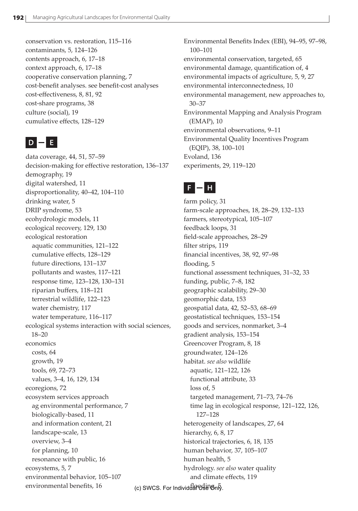conservation vs. restoration, 115–116 contaminants, 5, 124–126 contents approach, 6, 17–18 context approach, 6, 17–18 cooperative conservation planning, 7 cost-benefit analyses. see benefit-cost analyses cost-effectiveness, 8, 81, 92 cost-share programs, 38 culture (social), 19 cumulative effects, 128–129

## $D = E$

data coverage, 44, 51, 57–59 decision-making for effective restoration, 136–137 demography, 19 digital watershed, 11 disproportionality, 40–42, 104–110 drinking water, 5 DRIP syndrome, 53 ecohydrologic models, 11 ecological recovery, 129, 130 ecological restoration aquatic communities, 121–122 cumulative effects, 128–129 future directions, 131–137 pollutants and wastes, 117–121 response time, 123–128, 130–131 riparian buffers, 118–121 terrestrial wildlife, 122–123 water chemistry, 117 water temperature, 116–117 ecological systems interaction with social sciences, 18–20 economics costs, 64 growth, 19 tools, 69, 72–73 values, 3–4, 16, 129, 134 ecoregions, 72 ecosystem services approach ag environmental performance, 7 biologically-based, 11 and information content, 21 landscape-scale, 13 overview, 3–4 for planning, 10 resonance with public, 16 ecosystems, 5, 7 environmental behavior, 105–107 environmental benefits, 16

Environmental Benefits Index (EBI), 94–95, 97–98, 100–101 environmental conservation, targeted, 65 environmental damage, quantification of, 4 environmental impacts of agriculture, 5, 9, 27 environmental interconnectedness, 10 environmental management, new approaches to, 30–37 Environmental Mapping and Analysis Program (EMAP), 10 environmental observations, 9–11 Environmental Quality Incentives Program (EQIP), 38, 100–101 Evoland, 136 experiments, 29, 119–120

## **F H**

farm policy, 31 farm-scale approaches, 18, 28–29, 132–133 farmers, stereotypical, 105–107 feedback loops, 31 field-scale approaches, 28–29 filter strips, 119 financial incentives, 38, 92, 97–98 flooding, 5 functional assessment techniques, 31–32, 33 funding, public, 7–8, 182 geographic scalability, 29–30 geomorphic data, 153 geospatial data, 42, 52–53, 68–69 geostatistical techniques, 153–154 goods and services, nonmarket, 3–4 gradient analysis, 153–154 Greencover Program, 8, 18 groundwater, 124–126 habitat. *see also* wildlife aquatic, 121–122, 126 functional attribute, 33 loss of, 5 targeted management, 71–73, 74–76 time lag in ecological response, 121–122, 126, 127–128 heterogeneity of landscapes, 27, 64 hierarchy, 6, 8, 17 historical trajectories, 6, 18, 135 human behavior, 37, 105–107 human health, 5 hydrology. *see also* water quality and climate effects, 119

(c) SWCS. For Individual Use Only.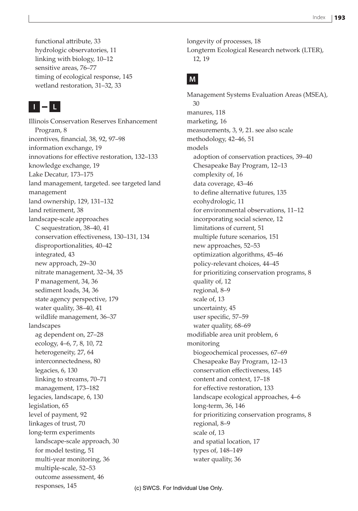functional attribute, 33 hydrologic observatories, 11 linking with biology, 10–12 sensitive areas, 76–77 timing of ecological response, 145 wetland restoration, 31–32, 33

## **I L**

Illinois Conservation Reserves Enhancement Program, 8 incentives, financial, 38, 92, 97–98 information exchange, 19 innovations for effective restoration, 132–133 knowledge exchange, 19 Lake Decatur, 173–175 land management, targeted. see targeted land management land ownership, 129, 131–132 land retirement, 38 landscape-scale approaches C sequestration, 38–40, 41 conservation effectiveness, 130–131, 134 disproportionalities, 40–42 integrated, 43 new approach, 29–30 nitrate management, 32–34, 35 P management, 34, 36 sediment loads, 34, 36 state agency perspective, 179 water quality, 38–40, 41 wildlife management, 36–37 landscapes ag dependent on, 27–28 ecology, 4–6, 7, 8, 10, 72 heterogeneity, 27, 64 interconnectedness, 80 legacies, 6, 130 linking to streams, 70–71 management, 173–182 legacies, landscape, 6, 130 legislation, 65 level of payment, 92 linkages of trust, 70 long-term experiments landscape-scale approach, 30 for model testing, 51 multi-year monitoring, 36 multiple-scale, 52–53 outcome assessment, 46 responses, 145

longevity of processes, 18 Longterm Ecological Research network (LTER), 12, 19

### **M**

Management Systems Evaluation Areas (MSEA), 30 manures, 118 marketing, 16 measurements, 3, 9, 21. see also scale methodology, 42–46, 51 models adoption of conservation practices, 39–40 Chesapeake Bay Program, 12–13 complexity of, 16 data coverage, 43–46 to define alternative futures, 135 ecohydrologic, 11 for environmental observations, 11–12 incorporating social science, 12 limitations of current, 51 multiple future scenarios, 151 new approaches, 52–53 optimization algorithms, 45–46 policy-relevant choices, 44–45 for prioritizing conservation programs, 8 quality of, 12 regional, 8–9 scale of, 13 uncertainty, 45 user specific, 57–59 water quality, 68–69 modifiable area unit problem, 6 monitoring biogeochemical processes, 67–69 Chesapeake Bay Program, 12–13 conservation effectiveness, 145 content and context, 17–18 for effective restoration, 133 landscape ecological approaches, 4–6 long-term, 36, 146 for prioritizing conservation programs, 8 regional, 8–9 scale of, 13 and spatial location, 17 types of, 148–149 water quality, 36

(c) SWCS. For Individual Use Only.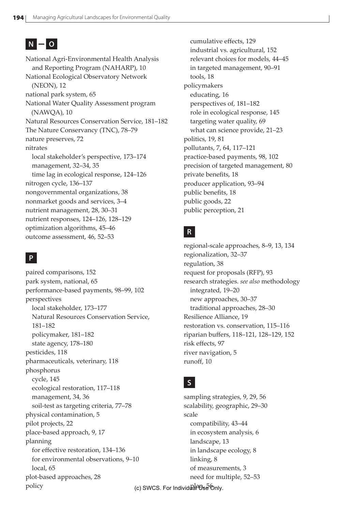## $N = 0$

National Agri-Environmental Health Analysis and Reporting Program (NAHARP), 10 National Ecological Observatory Network (NEON), 12 national park system, 65 National Water Quality Assessment program (NAWQA), 10 Natural Resources Conservation Service, 181–182 The Nature Conservancy (TNC), 78–79 nature preserves, 72 nitrates local stakeholder's perspective, 173–174 management, 32–34, 35 time lag in ecological response, 124–126 nitrogen cycle, 136–137 nongovernmental organizations, 38 nonmarket goods and services, 3–4 nutrient management, 28, 30–31 nutrient responses, 124–126, 128–129 optimization algorithms, 45–46 outcome assessment, 46, 52–53

#### **P**

paired comparisons, 152 park system, national, 65 performance-based payments, 98–99, 102 perspectives local stakeholder, 173–177 Natural Resources Conservation Service, 181–182 policymaker, 181–182 state agency, 178–180 pesticides, 118 pharmaceuticals, veterinary, 118 phosphorus cycle, 145 ecological restoration, 117–118 management, 34, 36 soil-test as targeting criteria, 77–78 physical contamination, 5 pilot projects, 22 place-based approach, 9, 17 planning for effective restoration, 134–136 for environmental observations, 9–10 local, 65 plot-based approaches, 28 policy

cumulative effects, 129 industrial vs. agricultural, 152 relevant choices for models, 44–45 in targeted management, 90–91 tools, 18 policymakers educating, 16 perspectives of, 181–182 role in ecological response, 145 targeting water quality, 69 what can science provide, 21–23 politics, 19, 81 pollutants, 7, 64, 117–121 practice-based payments, 98, 102 precision of targeted management, 80 private benefits, 18 producer application, 93–94 public benefits, 18 public goods, 22 public perception, 21

#### **R**

regional-scale approaches, 8–9, 13, 134 regionalization, 32–37 regulation, 38 request for proposals (RFP), 93 research strategies. *see also* methodology integrated, 19–20 new approaches, 30–37 traditional approaches, 28–30 Resilience Alliance, 19 restoration vs. conservation, 115–116 riparian buffers, 118–121, 128–129, 152 risk effects, 97 river navigation, 5 runoff, 10

#### **S**

sampling strategies, 9, 29, 56 scalability, geographic, 29–30 scale compatibility, 43–44 in ecosystem analysis, 6 landscape, 13 in landscape ecology, 8 linking, 8 of measurements, 3 need for multiple, 52–53

(c) SWCS. For Individual<sup>an</sup>Use<sup>5</sup> Only.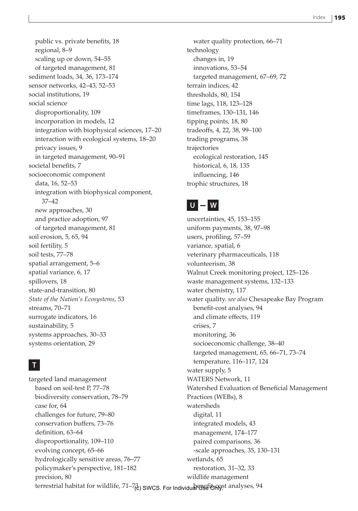public vs. private benefits, 18 regional, 8–9 scaling up or down, 54–55 of targeted management, 81 sediment loads, 34, 36, 173–174 sensor networks, 42–43, 52–53 social institutions, 19 social science disproportionality, 109 incorporation in models, 12 integration with biophysical sciences, 17–20 interaction with ecological systems, 18–20 privacy issues, 9 in targeted management, 90–91 societal benefits, 7 socioeconomic component data, 16, 52–53 integration with biophysical component, 37–42 new approaches, 30 and practice adoption, 97 of targeted management, 81 soil erosion, 5, 65, 94 soil fertility, 5 soil tests, 77–78 spatial arrangement, 5–6 spatial variance, 6, 17 spillovers, 18 state-and-transition, 80 *State of the Nation's Ecosystems*, 53 streams, 70–71 surrogate indicators, 16 sustainability, 5 systems approaches, 30–33 systems orientation, 29

#### **T**

targeted land management based on soil-test P, 77–78 biodiversity conservation, 78–79 case for, 64 challenges for future, 79–80 conservation buffers, 73–76 definition, 63–64 disproportionality, 109–110 evolving concept, 65–66 hydrologically sensitive areas, 76–77 policymaker's perspective, 181–182 precision, 80 terrestrial habitat for wildlife, 71–7<sub>(</sub>2) SWCS. For Individual የሆኖቹ <mark>b<sub>n</sub>n</mark>gst analyses, 94 watersheds digital, 11 wetlands, 65

water quality protection, 66–71 technology changes in, 19 innovations, 53–54 targeted management, 67–69, 72 terrain indices, 42 thresholds, 80, 154 time lags, 118, 123–128 timeframes, 130–131, 146 tipping points, 18, 80 tradeoffs, 4, 22, 38, 99–100 trading programs, 38 trajectories ecological restoration, 145 historical, 6, 18, 135 influencing, 146 trophic structures, 18

### **U W**

uncertainties, 45, 153–155 uniform payments, 38, 97–98 users, profiling, 57–59 variance, spatial, 6 veterinary pharmaceuticals, 118 volunteerism, 38 Walnut Creek monitoring project, 125–126 waste management systems, 132–133 water chemistry, 117 water quality. *see also* Chesapeake Bay Program benefit-cost analyses, 94 and climate effects, 119 crises, 7 monitoring, 36 socioeconomic challenge, 38–40 targeted management, 65, 66–71, 73–74 temperature, 116–117, 124 water supply, 5 WATERS Network, 11 Watershed Evaluation of Beneficial Management Practices (WEBs), 8 integrated models, 43 management, 174–177 paired comparisons, 36 -scale approaches, 35, 130–131 restoration, 31–32, 33 wildlife management